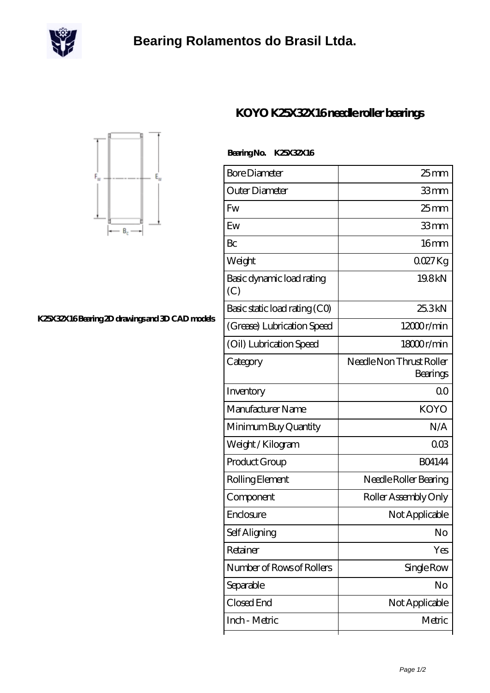



## **[K25X32X16 Bearing 2D drawings and 3D CAD models](https://scottrobertalexander.com/pic-539223.html)**

## **[KOYO K25X32X16 needle roller bearings](https://scottrobertalexander.com/koyo-k25x32x16-bearing/)**

| <b>Bore Diameter</b>             | $25$ mm                              |
|----------------------------------|--------------------------------------|
| Outer Diameter                   | 33mm                                 |
| Fw                               | 25 <sub>mm</sub>                     |
| Ew                               | 33mm                                 |
| Bc                               | 16 <sub>mm</sub>                     |
| Weight                           | QQZ7Kg                               |
| Basic dynamic load rating<br>(C) | 19.8kN                               |
| Basic static load rating (CO)    | 25.3kN                               |
| (Grease) Lubrication Speed       | 12000r/min                           |
| (Oil) Lubrication Speed          | 18000r/min                           |
| Category                         | Needle Non Thrust Roller<br>Bearings |
| Inventory                        | 0 <sup>0</sup>                       |
| Manufacturer Name                | <b>KOYO</b>                          |
| Minimum Buy Quantity             | N/A                                  |
| Weight / Kilogram                | 003                                  |
| Product Group                    | <b>BO4144</b>                        |
| Rolling Element                  | Needle Roller Bearing                |
| Component                        | Roller Assembly Only                 |
| Enclosure                        | Not Applicable                       |
| Self Aligning                    | No                                   |
| Retainer                         | Yes                                  |
| Number of Rows of Rollers        | Single Row                           |
| Separable                        | No                                   |
| Closed End                       | Not Applicable                       |
| Inch - Metric                    | Metric                               |
|                                  |                                      |